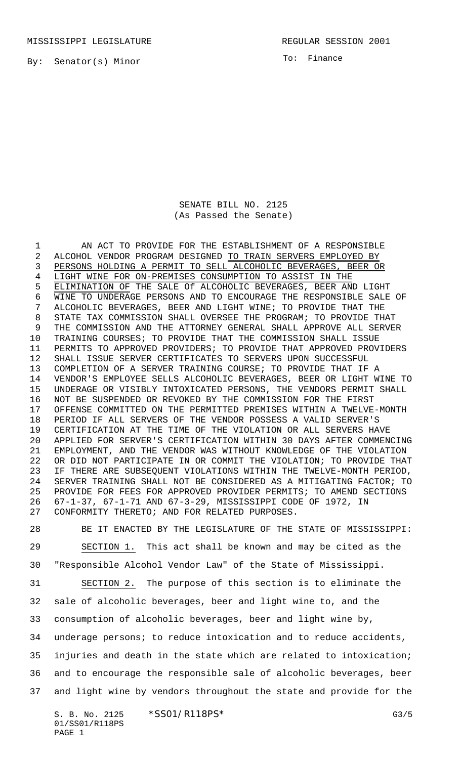MISSISSIPPI LEGISLATURE **REGULAR SESSION 2001** 

By: Senator(s) Minor

To: Finance

SENATE BILL NO. 2125 (As Passed the Senate)

 AN ACT TO PROVIDE FOR THE ESTABLISHMENT OF A RESPONSIBLE ALCOHOL VENDOR PROGRAM DESIGNED TO TRAIN SERVERS EMPLOYED BY PERSONS HOLDING A PERMIT TO SELL ALCOHOLIC BEVERAGES, BEER OR LIGHT WINE FOR ON-PREMISES CONSUMPTION TO ASSIST IN THE ELIMINATION OF THE SALE Of ALCOHOLIC BEVERAGES, BEER AND LIGHT WINE TO UNDERAGE PERSONS AND TO ENCOURAGE THE RESPONSIBLE SALE OF ALCOHOLIC BEVERAGES, BEER AND LIGHT WINE; TO PROVIDE THAT THE STATE TAX COMMISSION SHALL OVERSEE THE PROGRAM; TO PROVIDE THAT THE COMMISSION AND THE ATTORNEY GENERAL SHALL APPROVE ALL SERVER TRAINING COURSES; TO PROVIDE THAT THE COMMISSION SHALL ISSUE PERMITS TO APPROVED PROVIDERS; TO PROVIDE THAT APPROVED PROVIDERS SHALL ISSUE SERVER CERTIFICATES TO SERVERS UPON SUCCESSFUL COMPLETION OF A SERVER TRAINING COURSE; TO PROVIDE THAT IF A VENDOR'S EMPLOYEE SELLS ALCOHOLIC BEVERAGES, BEER OR LIGHT WINE TO UNDERAGE OR VISIBLY INTOXICATED PERSONS, THE VENDORS PERMIT SHALL NOT BE SUSPENDED OR REVOKED BY THE COMMISSION FOR THE FIRST OFFENSE COMMITTED ON THE PERMITTED PREMISES WITHIN A TWELVE-MONTH PERIOD IF ALL SERVERS OF THE VENDOR POSSESS A VALID SERVER'S CERTIFICATION AT THE TIME OF THE VIOLATION OR ALL SERVERS HAVE APPLIED FOR SERVER'S CERTIFICATION WITHIN 30 DAYS AFTER COMMENCING EMPLOYMENT, AND THE VENDOR WAS WITHOUT KNOWLEDGE OF THE VIOLATION OR DID NOT PARTICIPATE IN OR COMMIT THE VIOLATION; TO PROVIDE THAT IF THERE ARE SUBSEQUENT VIOLATIONS WITHIN THE TWELVE-MONTH PERIOD, SERVER TRAINING SHALL NOT BE CONSIDERED AS A MITIGATING FACTOR; TO PROVIDE FOR FEES FOR APPROVED PROVIDER PERMITS; TO AMEND SECTIONS 67-1-37, 67-1-71 AND 67-3-29, MISSISSIPPI CODE OF 1972, IN CONFORMITY THERETO; AND FOR RELATED PURPOSES.

 BE IT ENACTED BY THE LEGISLATURE OF THE STATE OF MISSISSIPPI: SECTION 1. This act shall be known and may be cited as the "Responsible Alcohol Vendor Law" of the State of Mississippi. SECTION 2. The purpose of this section is to eliminate the sale of alcoholic beverages, beer and light wine to, and the consumption of alcoholic beverages, beer and light wine by, underage persons; to reduce intoxication and to reduce accidents, injuries and death in the state which are related to intoxication; and to encourage the responsible sale of alcoholic beverages, beer and light wine by vendors throughout the state and provide for the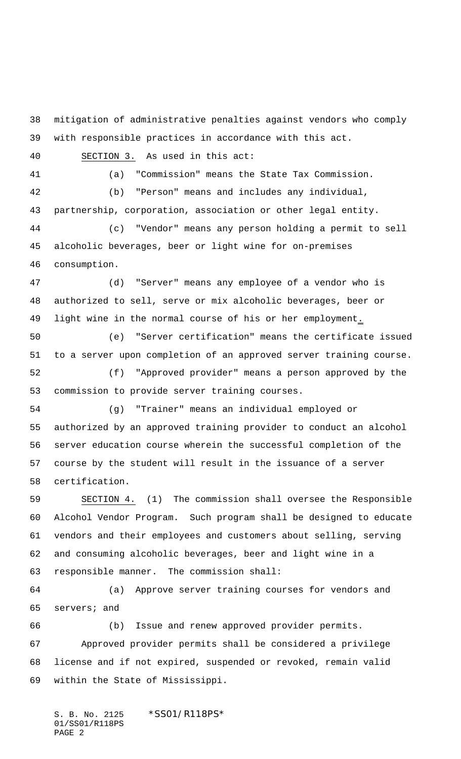mitigation of administrative penalties against vendors who comply with responsible practices in accordance with this act. SECTION 3. As used in this act: (a) "Commission" means the State Tax Commission. (b) "Person" means and includes any individual, partnership, corporation, association or other legal entity. (c) "Vendor" means any person holding a permit to sell alcoholic beverages, beer or light wine for on-premises consumption. (d) "Server" means any employee of a vendor who is authorized to sell, serve or mix alcoholic beverages, beer or 49 light wine in the normal course of his or her employment. (e) "Server certification" means the certificate issued to a server upon completion of an approved server training course. (f) "Approved provider" means a person approved by the commission to provide server training courses. (g) "Trainer" means an individual employed or authorized by an approved training provider to conduct an alcohol server education course wherein the successful completion of the course by the student will result in the issuance of a server certification. SECTION 4. (1) The commission shall oversee the Responsible Alcohol Vendor Program. Such program shall be designed to educate vendors and their employees and customers about selling, serving and consuming alcoholic beverages, beer and light wine in a responsible manner. The commission shall: (a) Approve server training courses for vendors and servers; and (b) Issue and renew approved provider permits. Approved provider permits shall be considered a privilege license and if not expired, suspended or revoked, remain valid within the State of Mississippi.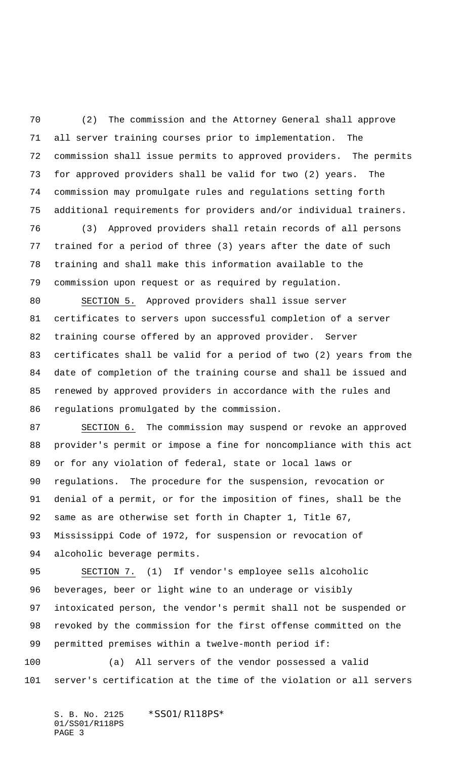(2) The commission and the Attorney General shall approve all server training courses prior to implementation. The commission shall issue permits to approved providers. The permits for approved providers shall be valid for two (2) years. The commission may promulgate rules and regulations setting forth additional requirements for providers and/or individual trainers.

 (3) Approved providers shall retain records of all persons trained for a period of three (3) years after the date of such training and shall make this information available to the commission upon request or as required by regulation.

 SECTION 5. Approved providers shall issue server certificates to servers upon successful completion of a server training course offered by an approved provider. Server certificates shall be valid for a period of two (2) years from the date of completion of the training course and shall be issued and renewed by approved providers in accordance with the rules and regulations promulgated by the commission.

 SECTION 6. The commission may suspend or revoke an approved provider's permit or impose a fine for noncompliance with this act or for any violation of federal, state or local laws or regulations. The procedure for the suspension, revocation or denial of a permit, or for the imposition of fines, shall be the same as are otherwise set forth in Chapter 1, Title 67, Mississippi Code of 1972, for suspension or revocation of alcoholic beverage permits.

95 SECTION 7. (1) If vendor's employee sells alcoholic beverages, beer or light wine to an underage or visibly intoxicated person, the vendor's permit shall not be suspended or revoked by the commission for the first offense committed on the permitted premises within a twelve-month period if:

 (a) All servers of the vendor possessed a valid server's certification at the time of the violation or all servers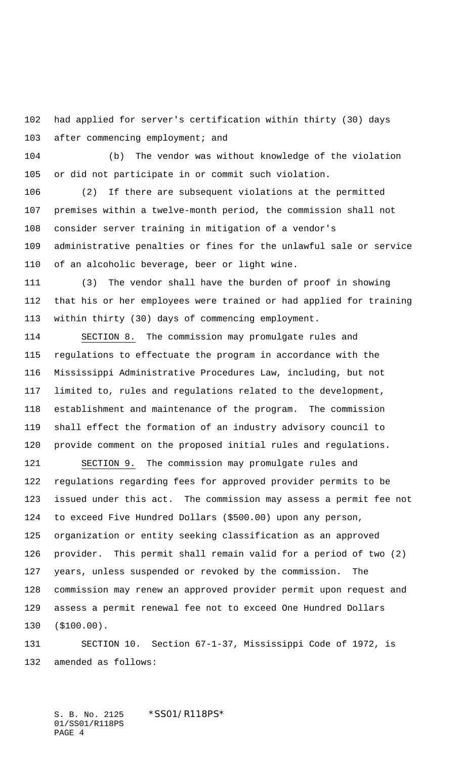had applied for server's certification within thirty (30) days 103 after commencing employment; and

 (b) The vendor was without knowledge of the violation or did not participate in or commit such violation.

 (2) If there are subsequent violations at the permitted premises within a twelve-month period, the commission shall not consider server training in mitigation of a vendor's administrative penalties or fines for the unlawful sale or service of an alcoholic beverage, beer or light wine.

 (3) The vendor shall have the burden of proof in showing that his or her employees were trained or had applied for training within thirty (30) days of commencing employment.

 SECTION 8. The commission may promulgate rules and regulations to effectuate the program in accordance with the Mississippi Administrative Procedures Law, including, but not limited to, rules and regulations related to the development, establishment and maintenance of the program. The commission shall effect the formation of an industry advisory council to provide comment on the proposed initial rules and regulations.

121 SECTION 9. The commission may promulgate rules and regulations regarding fees for approved provider permits to be issued under this act. The commission may assess a permit fee not to exceed Five Hundred Dollars (\$500.00) upon any person, organization or entity seeking classification as an approved provider. This permit shall remain valid for a period of two (2) years, unless suspended or revoked by the commission. The commission may renew an approved provider permit upon request and assess a permit renewal fee not to exceed One Hundred Dollars (\$100.00).

 SECTION 10. Section 67-1-37, Mississippi Code of 1972, is amended as follows: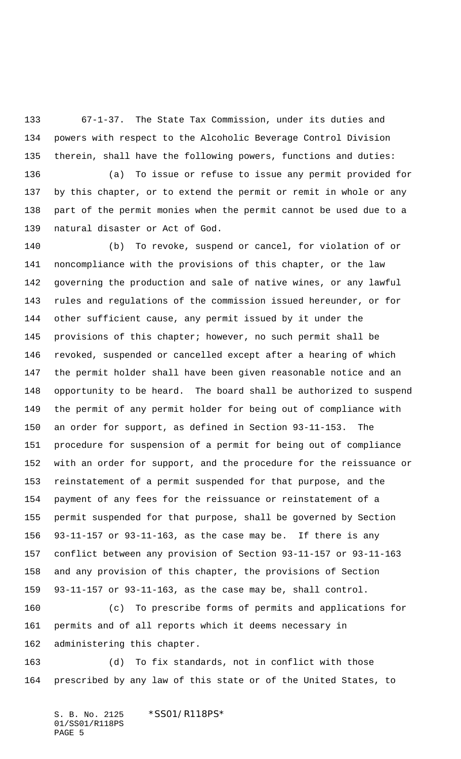67-1-37. The State Tax Commission, under its duties and powers with respect to the Alcoholic Beverage Control Division therein, shall have the following powers, functions and duties:

 (a) To issue or refuse to issue any permit provided for by this chapter, or to extend the permit or remit in whole or any part of the permit monies when the permit cannot be used due to a natural disaster or Act of God.

 (b) To revoke, suspend or cancel, for violation of or noncompliance with the provisions of this chapter, or the law governing the production and sale of native wines, or any lawful rules and regulations of the commission issued hereunder, or for other sufficient cause, any permit issued by it under the provisions of this chapter; however, no such permit shall be revoked, suspended or cancelled except after a hearing of which the permit holder shall have been given reasonable notice and an opportunity to be heard. The board shall be authorized to suspend the permit of any permit holder for being out of compliance with an order for support, as defined in Section 93-11-153. The procedure for suspension of a permit for being out of compliance with an order for support, and the procedure for the reissuance or reinstatement of a permit suspended for that purpose, and the payment of any fees for the reissuance or reinstatement of a permit suspended for that purpose, shall be governed by Section 93-11-157 or 93-11-163, as the case may be. If there is any conflict between any provision of Section 93-11-157 or 93-11-163 and any provision of this chapter, the provisions of Section 93-11-157 or 93-11-163, as the case may be, shall control.

 (c) To prescribe forms of permits and applications for permits and of all reports which it deems necessary in administering this chapter.

 (d) To fix standards, not in conflict with those prescribed by any law of this state or of the United States, to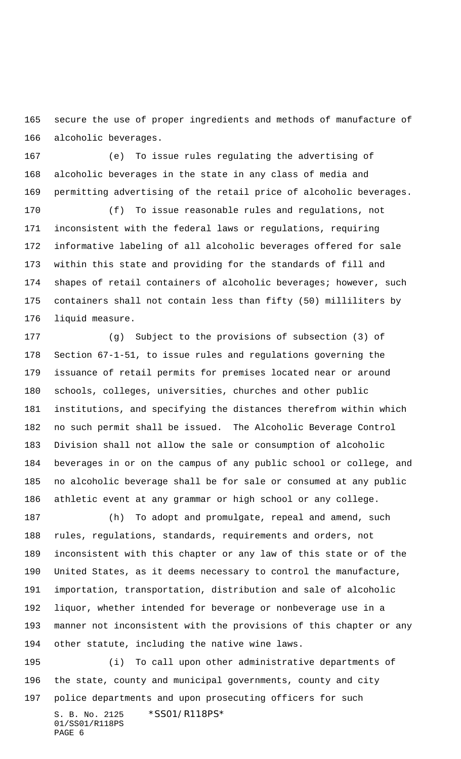secure the use of proper ingredients and methods of manufacture of alcoholic beverages.

 (e) To issue rules regulating the advertising of alcoholic beverages in the state in any class of media and permitting advertising of the retail price of alcoholic beverages.

 (f) To issue reasonable rules and regulations, not inconsistent with the federal laws or regulations, requiring informative labeling of all alcoholic beverages offered for sale within this state and providing for the standards of fill and shapes of retail containers of alcoholic beverages; however, such containers shall not contain less than fifty (50) milliliters by liquid measure.

 (g) Subject to the provisions of subsection (3) of Section 67-1-51, to issue rules and regulations governing the issuance of retail permits for premises located near or around schools, colleges, universities, churches and other public institutions, and specifying the distances therefrom within which no such permit shall be issued. The Alcoholic Beverage Control Division shall not allow the sale or consumption of alcoholic beverages in or on the campus of any public school or college, and no alcoholic beverage shall be for sale or consumed at any public athletic event at any grammar or high school or any college.

 (h) To adopt and promulgate, repeal and amend, such rules, regulations, standards, requirements and orders, not inconsistent with this chapter or any law of this state or of the United States, as it deems necessary to control the manufacture, importation, transportation, distribution and sale of alcoholic liquor, whether intended for beverage or nonbeverage use in a manner not inconsistent with the provisions of this chapter or any other statute, including the native wine laws.

S. B. No. 2125 \* SS01/R118PS\* 01/SS01/R118PS PAGE 6 (i) To call upon other administrative departments of the state, county and municipal governments, county and city police departments and upon prosecuting officers for such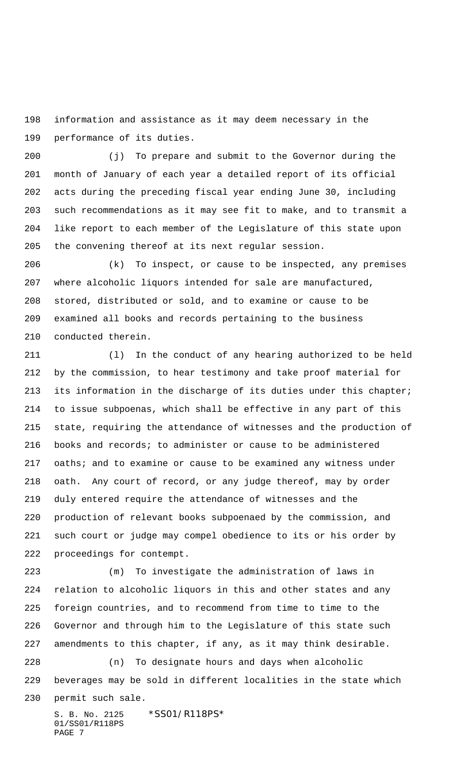information and assistance as it may deem necessary in the performance of its duties.

 (j) To prepare and submit to the Governor during the month of January of each year a detailed report of its official acts during the preceding fiscal year ending June 30, including such recommendations as it may see fit to make, and to transmit a like report to each member of the Legislature of this state upon the convening thereof at its next regular session.

 (k) To inspect, or cause to be inspected, any premises where alcoholic liquors intended for sale are manufactured, stored, distributed or sold, and to examine or cause to be examined all books and records pertaining to the business conducted therein.

 (l) In the conduct of any hearing authorized to be held by the commission, to hear testimony and take proof material for its information in the discharge of its duties under this chapter; to issue subpoenas, which shall be effective in any part of this state, requiring the attendance of witnesses and the production of books and records; to administer or cause to be administered 217 oaths; and to examine or cause to be examined any witness under oath. Any court of record, or any judge thereof, may by order duly entered require the attendance of witnesses and the production of relevant books subpoenaed by the commission, and such court or judge may compel obedience to its or his order by proceedings for contempt.

 (m) To investigate the administration of laws in relation to alcoholic liquors in this and other states and any foreign countries, and to recommend from time to time to the Governor and through him to the Legislature of this state such amendments to this chapter, if any, as it may think desirable. (n) To designate hours and days when alcoholic beverages may be sold in different localities in the state which permit such sale.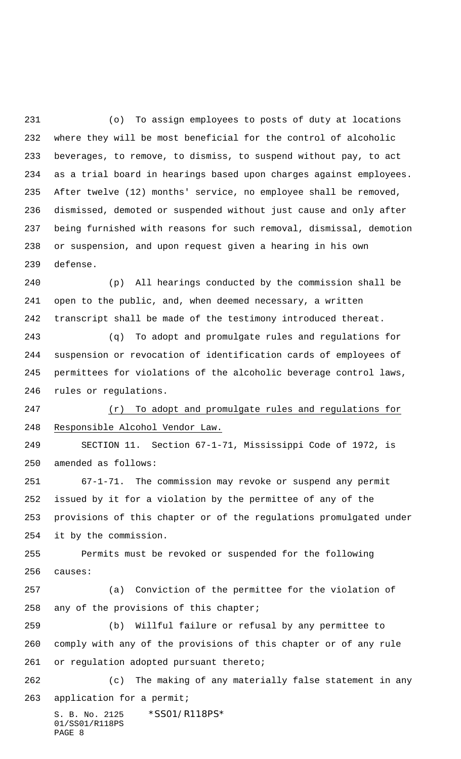(o) To assign employees to posts of duty at locations where they will be most beneficial for the control of alcoholic beverages, to remove, to dismiss, to suspend without pay, to act as a trial board in hearings based upon charges against employees. After twelve (12) months' service, no employee shall be removed, dismissed, demoted or suspended without just cause and only after being furnished with reasons for such removal, dismissal, demotion or suspension, and upon request given a hearing in his own defense.

 (p) All hearings conducted by the commission shall be open to the public, and, when deemed necessary, a written transcript shall be made of the testimony introduced thereat.

 (q) To adopt and promulgate rules and regulations for suspension or revocation of identification cards of employees of permittees for violations of the alcoholic beverage control laws, rules or regulations.

 (r) To adopt and promulgate rules and regulations for Responsible Alcohol Vendor Law.

 SECTION 11. Section 67-1-71, Mississippi Code of 1972, is amended as follows:

 67-1-71. The commission may revoke or suspend any permit issued by it for a violation by the permittee of any of the provisions of this chapter or of the regulations promulgated under it by the commission.

 Permits must be revoked or suspended for the following causes:

 (a) Conviction of the permittee for the violation of any of the provisions of this chapter;

 (b) Willful failure or refusal by any permittee to comply with any of the provisions of this chapter or of any rule 261 or regulation adopted pursuant thereto;

 (c) The making of any materially false statement in any application for a permit;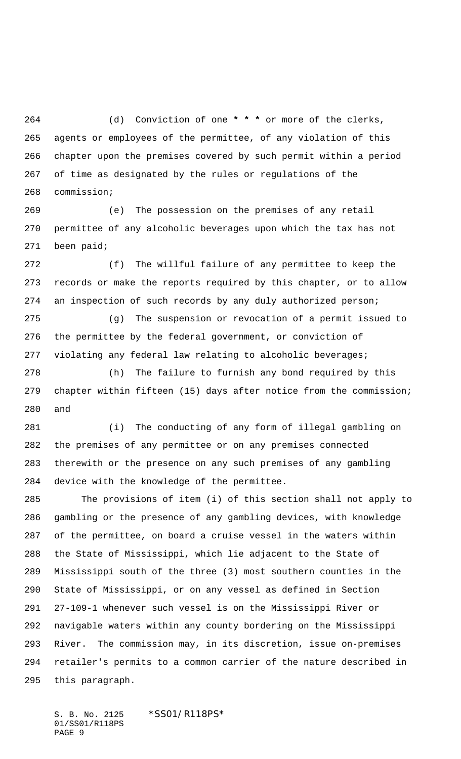(d) Conviction of one **\* \* \*** or more of the clerks, agents or employees of the permittee, of any violation of this chapter upon the premises covered by such permit within a period of time as designated by the rules or regulations of the commission;

 (e) The possession on the premises of any retail permittee of any alcoholic beverages upon which the tax has not been paid;

 (f) The willful failure of any permittee to keep the records or make the reports required by this chapter, or to allow an inspection of such records by any duly authorized person;

 (g) The suspension or revocation of a permit issued to the permittee by the federal government, or conviction of violating any federal law relating to alcoholic beverages;

 (h) The failure to furnish any bond required by this chapter within fifteen (15) days after notice from the commission; and

 (i) The conducting of any form of illegal gambling on the premises of any permittee or on any premises connected therewith or the presence on any such premises of any gambling device with the knowledge of the permittee.

 The provisions of item (i) of this section shall not apply to gambling or the presence of any gambling devices, with knowledge of the permittee, on board a cruise vessel in the waters within the State of Mississippi, which lie adjacent to the State of Mississippi south of the three (3) most southern counties in the State of Mississippi, or on any vessel as defined in Section 27-109-1 whenever such vessel is on the Mississippi River or navigable waters within any county bordering on the Mississippi River. The commission may, in its discretion, issue on-premises retailer's permits to a common carrier of the nature described in this paragraph.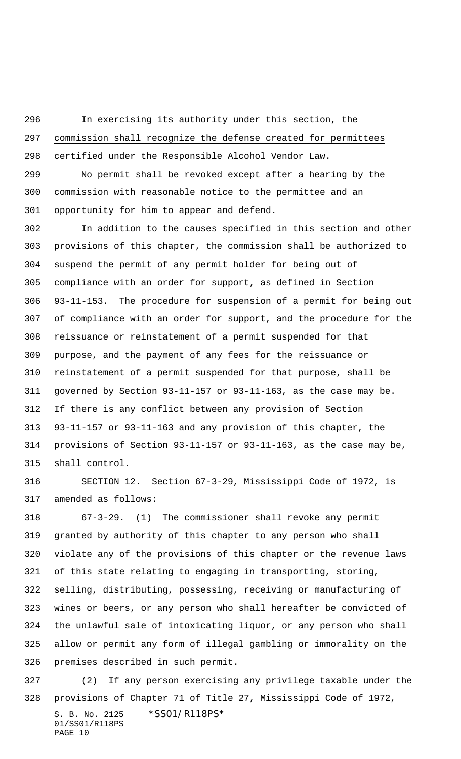In exercising its authority under this section, the

 commission shall recognize the defense created for permittees certified under the Responsible Alcohol Vendor Law.

 No permit shall be revoked except after a hearing by the commission with reasonable notice to the permittee and an opportunity for him to appear and defend.

 In addition to the causes specified in this section and other provisions of this chapter, the commission shall be authorized to suspend the permit of any permit holder for being out of compliance with an order for support, as defined in Section 93-11-153. The procedure for suspension of a permit for being out of compliance with an order for support, and the procedure for the reissuance or reinstatement of a permit suspended for that purpose, and the payment of any fees for the reissuance or reinstatement of a permit suspended for that purpose, shall be governed by Section 93-11-157 or 93-11-163, as the case may be. If there is any conflict between any provision of Section 93-11-157 or 93-11-163 and any provision of this chapter, the provisions of Section 93-11-157 or 93-11-163, as the case may be, shall control.

 SECTION 12. Section 67-3-29, Mississippi Code of 1972, is amended as follows:

 67-3-29. (1) The commissioner shall revoke any permit granted by authority of this chapter to any person who shall violate any of the provisions of this chapter or the revenue laws of this state relating to engaging in transporting, storing, selling, distributing, possessing, receiving or manufacturing of wines or beers, or any person who shall hereafter be convicted of the unlawful sale of intoxicating liquor, or any person who shall allow or permit any form of illegal gambling or immorality on the premises described in such permit.

S. B. No. 2125 \* SS01/R118PS\* (2) If any person exercising any privilege taxable under the provisions of Chapter 71 of Title 27, Mississippi Code of 1972,

01/SS01/R118PS PAGE 10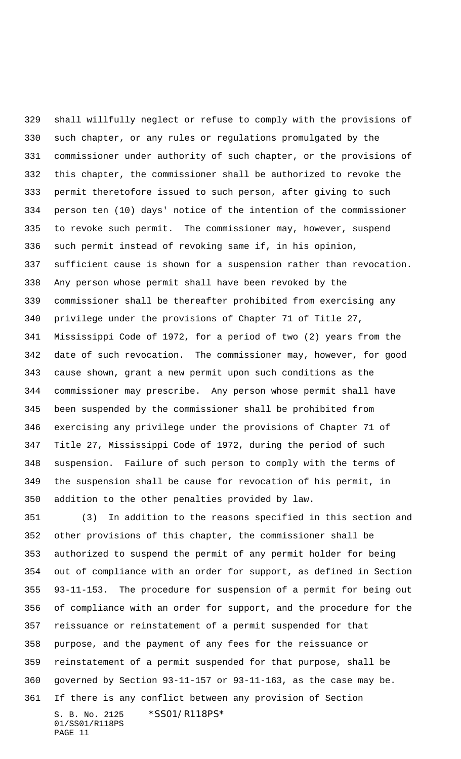shall willfully neglect or refuse to comply with the provisions of such chapter, or any rules or regulations promulgated by the commissioner under authority of such chapter, or the provisions of this chapter, the commissioner shall be authorized to revoke the permit theretofore issued to such person, after giving to such person ten (10) days' notice of the intention of the commissioner to revoke such permit. The commissioner may, however, suspend such permit instead of revoking same if, in his opinion, sufficient cause is shown for a suspension rather than revocation. Any person whose permit shall have been revoked by the commissioner shall be thereafter prohibited from exercising any privilege under the provisions of Chapter 71 of Title 27, Mississippi Code of 1972, for a period of two (2) years from the date of such revocation. The commissioner may, however, for good cause shown, grant a new permit upon such conditions as the commissioner may prescribe. Any person whose permit shall have been suspended by the commissioner shall be prohibited from exercising any privilege under the provisions of Chapter 71 of Title 27, Mississippi Code of 1972, during the period of such suspension. Failure of such person to comply with the terms of the suspension shall be cause for revocation of his permit, in addition to the other penalties provided by law.

S. B. No. 2125 \* SS01/R118PS\* 01/SS01/R118PS PAGE 11 (3) In addition to the reasons specified in this section and other provisions of this chapter, the commissioner shall be authorized to suspend the permit of any permit holder for being out of compliance with an order for support, as defined in Section 93-11-153. The procedure for suspension of a permit for being out of compliance with an order for support, and the procedure for the reissuance or reinstatement of a permit suspended for that purpose, and the payment of any fees for the reissuance or reinstatement of a permit suspended for that purpose, shall be governed by Section 93-11-157 or 93-11-163, as the case may be. If there is any conflict between any provision of Section